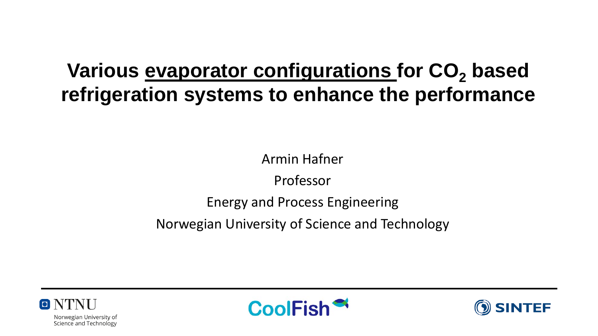### **Various evaporator configurations for CO<sub>2</sub> based refrigeration systems to enhance the performance**

Armin Hafner

Professor

### Energy and Process Engineering

Norwegian University of Science and Technology





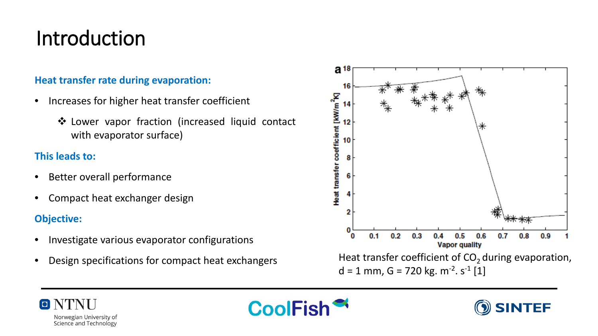# Introduction

#### **Heat transfer rate during evaporation:**

- Increases for higher heat transfer coefficient
	- Lower vapor fraction (increased liquid contact with evaporator surface)

#### **This leads to:**

- Better overall performance
- Compact heat exchanger design

#### **Objective:**

- Investigate various evaporator configurations
- Design specifications for compact heat exchangers



Heat transfer coefficient of  $CO<sub>2</sub>$  during evaporation,  $d = 1$  mm,  $G = 720$  kg. m<sup>-2</sup>. s<sup>-1</sup> [1]





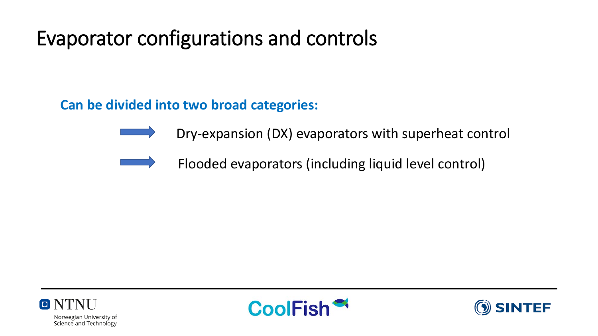# Evaporator configurations and controls

### **Can be divided into two broad categories:**



Dry-expansion (DX) evaporators with superheat control



Flooded evaporators (including liquid level control)





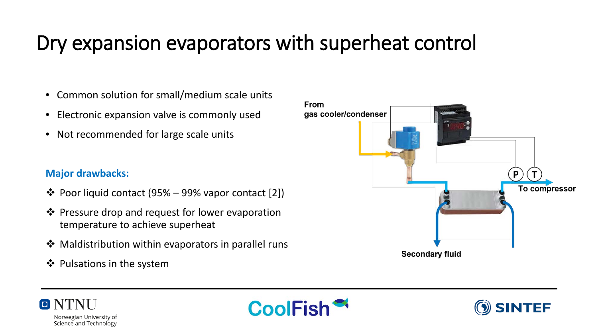## Dry expansion evaporators with superheat control

- Common solution for small/medium scale units
- Electronic expansion valve is commonly used
- Not recommended for large scale units

#### **Major drawbacks:**

- $\cdot$  Poor liquid contact (95% 99% vapor contact [2])
- ❖ Pressure drop and request for lower evaporation temperature to achieve superheat
- ❖ Maldistribution within evaporators in parallel runs
- ❖ Pulsations in the system







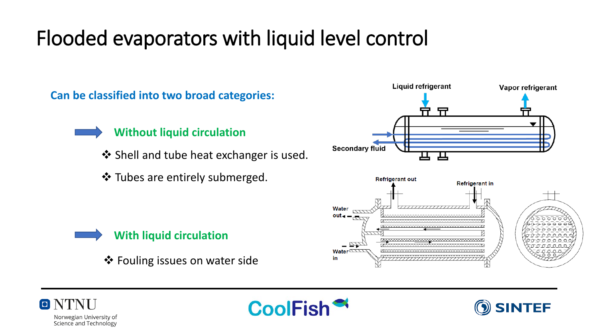# Flooded evaporators with liquid level control

**Can be classified into two broad categories:**



❖ Shell and tube heat exchanger is used.

 $\triangle$  Tubes are entirely submerged.





❖ Fouling issues on water side

Norwegian University of Science and Technology



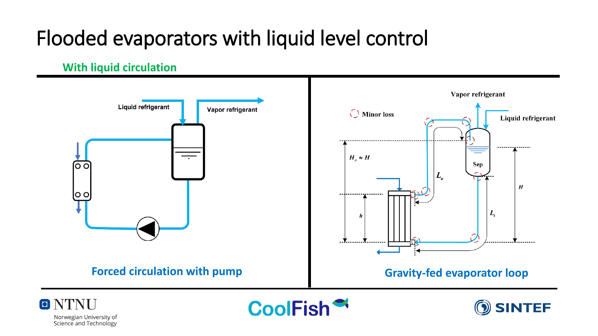# Flooded evaporators with liquid level control

#### **With liquid circulation**







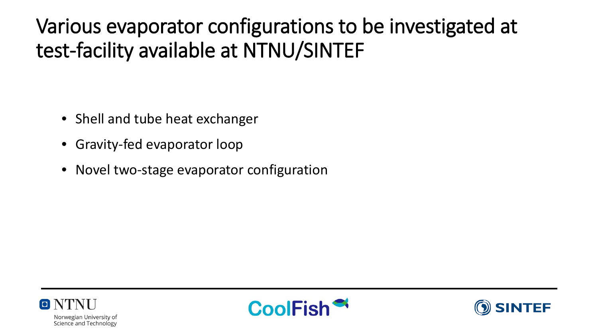Various evaporator configurations to be investigated at test-facility available at NTNU/SINTEF

- Shell and tube heat exchanger
- Gravity-fed evaporator loop
- Novel two-stage evaporator configuration





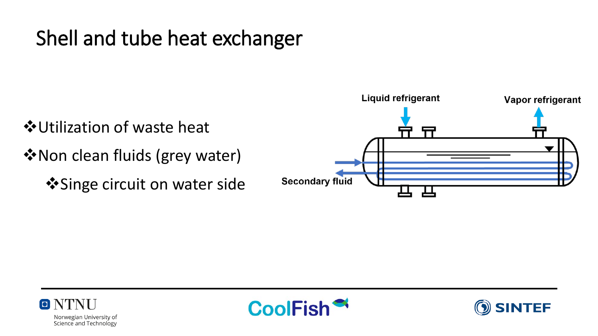# Shell and tube heat exchanger

Utilization of waste heat  $\dots$  Non clean fluids (grey water)  $\dots$ **Singe circuit on water side** 







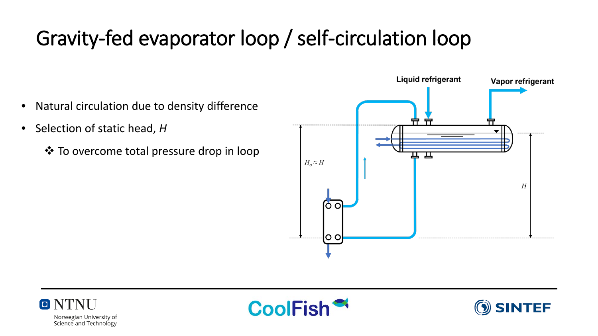# Gravity-fed evaporator loop / self-circulation loop

- Natural circulation due to density difference
- Selection of static head, *H*

❖ To overcome total pressure drop in loop







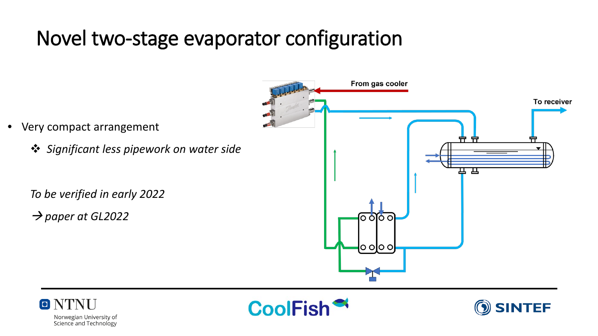## Novel two-stage evaporator configuration

- From gas cooler To receiver ᅲ ਲ ਲ **രാര**് o olo o
- Very compact arrangement
	- *Significant less pipework on water side*

*To be verified in early 2022* 

 $\rightarrow$  paper at GL2022





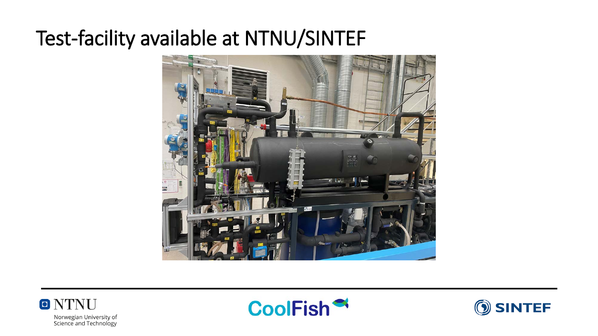# Test-facility available at NTNU/SINTEF







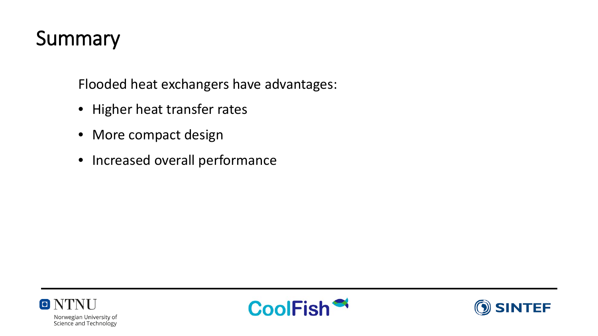# Summary

Flooded heat exchangers have advantages:

- Higher heat transfer rates
- More compact design
- Increased overall performance





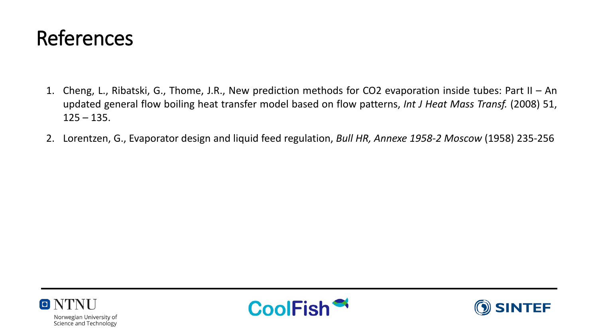### References

- 1. Cheng, L., Ribatski, G., Thome, J.R., New prediction methods for CO2 evaporation inside tubes: Part II An updated general flow boiling heat transfer model based on flow patterns, *Int J Heat Mass Transf.* (2008) 51,  $125 - 135$ .
- 2. Lorentzen, G., Evaporator design and liquid feed regulation, *Bull HR, Annexe 1958-2 Moscow* (1958) 235-256





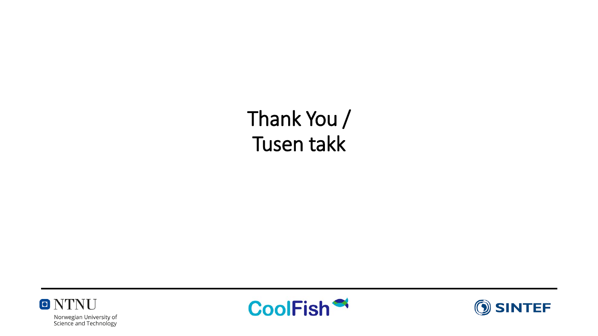# Thank You / Tusen takk





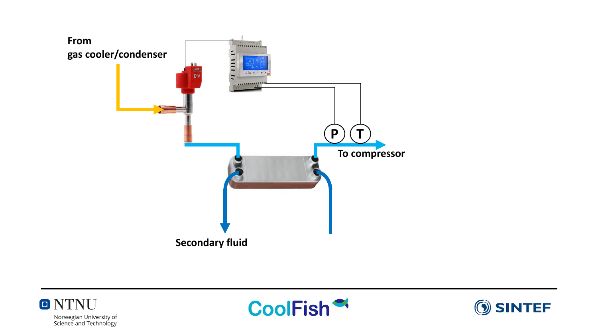





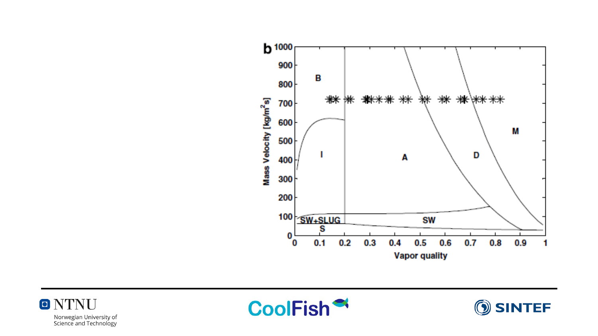

**CoolFish<sup>a</sup>** 



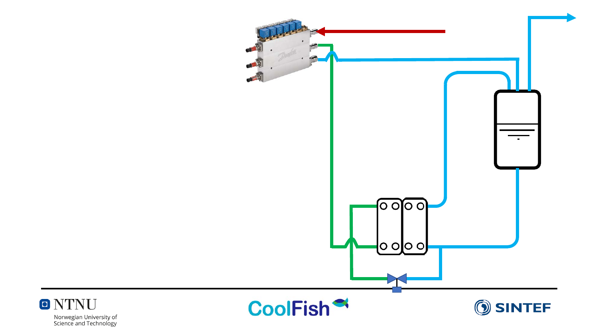

O NTNU Norwegian University of<br>Science and Technology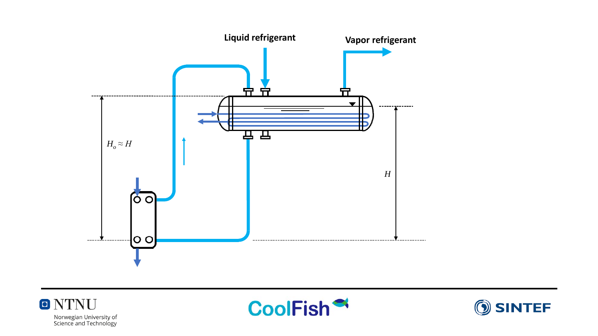





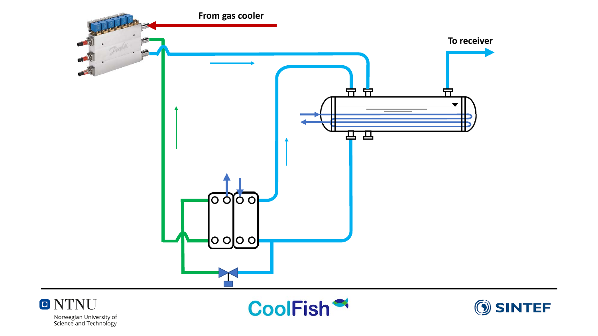





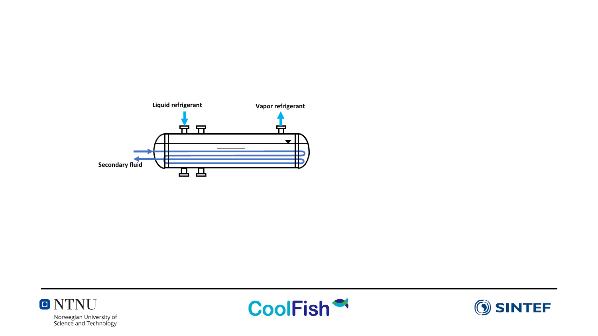